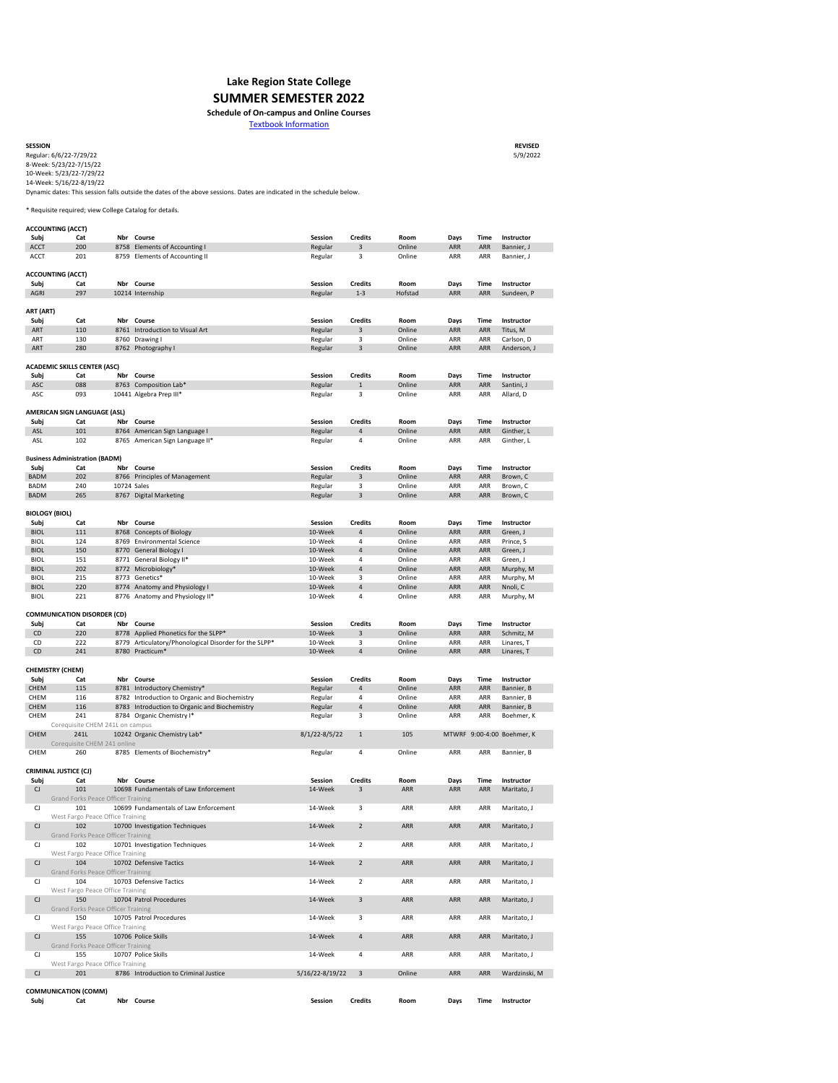| <b>SESSION</b>           | <b>REVISED</b> |
|--------------------------|----------------|
| Regular: 6/6/22-7/29/22  | 5/9/2022       |
| 8-Week: 5/23/22-7/15/22  |                |
| 10-Week: 5/23/22-7/29/22 |                |
| 14-Week: 5/16/22-8/19/22 |                |

|                        | <b>ACCOUNTING (ACCT)</b>                         |             |                                                       |                   |                         |            |             |             |                            |
|------------------------|--------------------------------------------------|-------------|-------------------------------------------------------|-------------------|-------------------------|------------|-------------|-------------|----------------------------|
| Subj                   | Cat                                              |             | Nbr Course                                            | <b>Session</b>    | <b>Credits</b>          | Room       | <b>Days</b> | <b>Time</b> | Instructor                 |
| <b>ACCT</b>            | 200                                              |             | 8758 Elements of Accounting I                         | Regular           | 3                       | Online     | <b>ARR</b>  | <b>ARR</b>  | Bannier, J                 |
| <b>ACCT</b>            | 201                                              |             | 8759 Elements of Accounting II                        | Regular           | 3                       | Online     | <b>ARR</b>  | <b>ARR</b>  | Bannier, J                 |
|                        |                                                  |             |                                                       |                   |                         |            |             |             |                            |
|                        | <b>ACCOUNTING (ACCT)</b>                         |             |                                                       |                   |                         |            |             |             |                            |
| Subj                   | Cat                                              |             | Nbr Course                                            | <b>Session</b>    | <b>Credits</b>          | Room       | <b>Days</b> | <b>Time</b> | Instructor                 |
| <b>AGRI</b>            | 297                                              |             | 10214 Internship                                      | Regular           | $1 - 3$                 | Hofstad    | <b>ARR</b>  | <b>ARR</b>  | Sundeen, P                 |
|                        |                                                  |             |                                                       |                   |                         |            |             |             |                            |
| ART (ART)              |                                                  |             |                                                       |                   |                         |            |             |             |                            |
| Subj                   | Cat                                              |             | Nbr Course                                            | <b>Session</b>    | <b>Credits</b>          | Room       | <b>Days</b> | <b>Time</b> | Instructor                 |
| <b>ART</b>             | 110                                              |             | 8761 Introduction to Visual Art                       | Regular           | 3                       | Online     | <b>ARR</b>  | <b>ARR</b>  | Titus, M                   |
| ART                    | 130                                              |             | 8760 Drawing I                                        | Regular           | 3                       | Online     | <b>ARR</b>  | <b>ARR</b>  | Carlson, D                 |
| <b>ART</b>             | 280                                              |             | 8762 Photography I                                    | Regular           | $\overline{3}$          | Online     | <b>ARR</b>  | <b>ARR</b>  | Anderson, J                |
|                        |                                                  |             |                                                       |                   |                         |            |             |             |                            |
|                        |                                                  |             |                                                       |                   |                         |            |             |             |                            |
|                        | <b>ACADEMIC SKILLS CENTER (ASC)</b>              |             |                                                       |                   |                         |            |             |             |                            |
| Subj                   | Cat                                              |             | Nbr Course                                            | <b>Session</b>    | <b>Credits</b>          | Room       | <b>Days</b> | <b>Time</b> | Instructor                 |
| ASC                    | 088                                              |             | 8763 Composition Lab*                                 | Regular           | $\mathbf{1}$            | Online     | <b>ARR</b>  | <b>ARR</b>  | Santini, J                 |
| <b>ASC</b>             | 093                                              |             | 10441 Algebra Prep III*                               | Regular           | 3                       | Online     | <b>ARR</b>  | <b>ARR</b>  | Allard, D                  |
|                        |                                                  |             |                                                       |                   |                         |            |             |             |                            |
|                        | <b>AMERICAN SIGN LANGUAGE (ASL)</b>              |             |                                                       |                   |                         |            |             |             |                            |
| Subj                   | Cat                                              |             | Nbr Course                                            | <b>Session</b>    | <b>Credits</b>          | Room       | Days        | <b>Time</b> | Instructor                 |
| <b>ASL</b>             | 101                                              |             | 8764 American Sign Language I                         | Regular           | 4                       | Online     | <b>ARR</b>  | <b>ARR</b>  | Ginther, L                 |
| <b>ASL</b>             | 102                                              |             | 8765 American Sign Language II*                       | Regular           | 4                       | Online     | <b>ARR</b>  | <b>ARR</b>  | Ginther, L                 |
|                        |                                                  |             |                                                       |                   |                         |            |             |             |                            |
|                        | <b>Business Administration (BADM)</b>            |             |                                                       |                   |                         |            |             |             |                            |
| Subj                   | Cat                                              |             | Nbr Course                                            | <b>Session</b>    | <b>Credits</b>          | Room       | <b>Days</b> | <b>Time</b> | Instructor                 |
| <b>BADM</b>            | 202                                              |             | 8766 Principles of Management                         | Regular           | $\mathbf{3}$            | Online     | <b>ARR</b>  | <b>ARR</b>  | Brown, C                   |
| <b>BADM</b>            | 240                                              | 10724 Sales |                                                       | Regular           | 3                       | Online     | <b>ARR</b>  | <b>ARR</b>  | Brown, C                   |
| <b>BADM</b>            | 265                                              |             | 8767 Digital Marketing                                | Regular           | 3                       | Online     | <b>ARR</b>  | <b>ARR</b>  | Brown, C                   |
|                        |                                                  |             |                                                       |                   |                         |            |             |             |                            |
|                        | <b>BIOLOGY (BIOL)</b>                            |             |                                                       |                   |                         |            |             |             |                            |
| Subj                   | Cat                                              |             | Nbr Course                                            | <b>Session</b>    | <b>Credits</b>          | Room       | Days        | Time        | Instructor                 |
| <b>BIOL</b>            | 111                                              |             | 8768 Concepts of Biology                              | 10-Week           | 4                       | Online     | <b>ARR</b>  | <b>ARR</b>  | Green, J                   |
| <b>BIOL</b>            | 124                                              |             | 8769 Environmental Science                            | 10-Week           | 4                       | Online     | <b>ARR</b>  | <b>ARR</b>  | Prince, S                  |
| <b>BIOL</b>            | 150                                              |             | 8770 General Biology I                                | 10-Week           | 4                       | Online     | <b>ARR</b>  | <b>ARR</b>  | Green, J                   |
| <b>BIOL</b>            |                                                  |             |                                                       | 10-Week           |                         |            |             | <b>ARR</b>  |                            |
|                        | 151                                              |             | 8771 General Biology II*                              |                   | 4                       | Online     | <b>ARR</b>  |             | Green, J                   |
| <b>BIOL</b>            | 202                                              |             | 8772 Microbiology*                                    | 10-Week           | 4                       | Online     | <b>ARR</b>  | <b>ARR</b>  | Murphy, M                  |
| <b>BIOL</b>            | 215                                              |             | 8773 Genetics*                                        | 10-Week           | 3                       | Online     | <b>ARR</b>  | <b>ARR</b>  | Murphy, M                  |
| <b>BIOL</b>            | 220                                              |             | 8774 Anatomy and Physiology I                         | 10-Week           | 4                       | Online     | <b>ARR</b>  | <b>ARR</b>  | Nnoli, C                   |
| <b>BIOL</b>            | 221                                              |             | 8776 Anatomy and Physiology II*                       | 10-Week           | 4                       | Online     | <b>ARR</b>  | <b>ARR</b>  | Murphy, M                  |
|                        |                                                  |             |                                                       |                   |                         |            |             |             |                            |
|                        | <b>COMMUNICATION DISORDER (CD)</b>               |             |                                                       |                   |                         |            |             |             |                            |
| Subj                   | Cat                                              | Nbr         | <b>Course</b>                                         | <b>Session</b>    | <b>Credits</b>          | Room       | <b>Days</b> | <b>Time</b> | Instructor                 |
| CD                     | 220                                              |             | 8778 Applied Phonetics for the SLPP*                  | 10-Week           | 3                       | Online     | <b>ARR</b>  | <b>ARR</b>  | Schmitz, M                 |
| CD                     | 222                                              |             | 8779 Articulatory/Phonological Disorder for the SLPP* | 10-Week           | 3                       | Online     | <b>ARR</b>  | <b>ARR</b>  | Linares, T                 |
| CD                     | 241                                              |             | 8780 Practicum*                                       | 10-Week           | 4                       | Online     | <b>ARR</b>  | <b>ARR</b>  | Linares, T                 |
|                        |                                                  |             |                                                       |                   |                         |            |             |             |                            |
|                        | <b>CHEMISTRY (CHEM)</b>                          |             |                                                       |                   |                         |            |             |             |                            |
| Subj                   | Cat                                              |             | Nbr Course                                            | <b>Session</b>    | <b>Credits</b>          | Room       | <b>Days</b> | <b>Time</b> | Instructor                 |
| <b>CHEM</b>            | 115                                              |             | 8781 Introductory Chemistry*                          | Regular           | 4                       | Online     | <b>ARR</b>  | <b>ARR</b>  | Bannier, B                 |
| <b>CHEM</b>            | 116                                              |             | 8782 Introduction to Organic and Biochemistry         | Regular           | 4                       | Online     | <b>ARR</b>  | <b>ARR</b>  | Bannier, B                 |
| <b>CHEM</b>            | 116                                              |             | 8783 Introduction to Organic and Biochemistry         | Regular           | 4                       | Online     | <b>ARR</b>  | <b>ARR</b>  | Bannier, B                 |
| <b>CHEM</b>            | 241                                              |             | 8784 Organic Chemistry I*                             | Regular           | 3                       | Online     | <b>ARR</b>  | <b>ARR</b>  | Boehmer, K                 |
|                        | Corequisite CHEM 241L on campus                  |             |                                                       |                   |                         |            |             |             |                            |
| <b>CHEM</b>            | 241L                                             |             | 10242 Organic Chemistry Lab*                          | $8/1/22 - 8/5/22$ | $\mathbf{1}$            | 105        |             |             | MTWRF 9:00-4:00 Boehmer, K |
|                        | Corequisite CHEM 241 online                      |             |                                                       |                   |                         |            |             |             |                            |
| <b>CHEM</b>            | 260                                              |             | 8785 Elements of Biochemistry*                        | Regular           | 4                       | Online     | <b>ARR</b>  | <b>ARR</b>  | Bannier, B                 |
|                        |                                                  |             |                                                       |                   |                         |            |             |             |                            |
|                        | <b>CRIMINAL JUSTICE (CJ)</b>                     |             |                                                       |                   |                         |            |             |             |                            |
|                        |                                                  |             | Nbr Course                                            | <b>Session</b>    | <b>Credits</b>          | Room       |             | <b>Time</b> | Instructor                 |
| Subj                   | Cat                                              |             |                                                       |                   |                         |            | <b>Days</b> |             |                            |
| CJ                     | 101<br><b>Grand Forks Peace Officer Training</b> |             | 10698 Fundamentals of Law Enforcement                 | 14-Week           | 3                       | ARR        | <b>ARR</b>  | <b>ARR</b>  | Maritato, J                |
|                        |                                                  |             |                                                       |                   |                         |            |             |             |                            |
| CJ                     | 101                                              |             | 10699 Fundamentals of Law Enforcement                 | 14-Week           | 3                       | ARR        | <b>ARR</b>  | <b>ARR</b>  | Maritato, J                |
|                        |                                                  |             |                                                       |                   |                         |            |             |             |                            |
|                        | West Fargo Peace Office Training                 |             |                                                       |                   |                         |            |             |             |                            |
| CJ                     | 102                                              |             | 10700 Investigation Techniques                        | 14-Week           | $\overline{2}$          | <b>ARR</b> | <b>ARR</b>  | <b>ARR</b>  | Maritato, J                |
|                        | <b>Grand Forks Peace Officer Training</b>        |             |                                                       |                   |                         |            |             |             |                            |
| $\mathsf{C}\mathsf{J}$ | 102                                              |             | 10701 Investigation Techniques                        | 14-Week           | $\overline{2}$          | <b>ARR</b> | <b>ARR</b>  | <b>ARR</b>  | Maritato, J                |
|                        | West Fargo Peace Office Training                 |             |                                                       |                   |                         |            |             |             |                            |
| CJ                     | 104                                              |             | 10702 Defensive Tactics                               | 14-Week           | $\overline{2}$          | <b>ARR</b> | <b>ARR</b>  | <b>ARR</b>  | Maritato, J                |
|                        | <b>Grand Forks Peace Officer Training</b>        |             |                                                       |                   |                         |            |             |             |                            |
| CJ                     | 104                                              |             | 10703 Defensive Tactics                               | 14-Week           | $\overline{2}$          | ARR        | ARR         | ARR         | Maritato, J                |
|                        | West Fargo Peace Office Training                 |             |                                                       |                   |                         |            |             |             |                            |
| CJ                     | 150                                              |             | 10704 Patrol Procedures                               | 14-Week           | 3                       | <b>ARR</b> | <b>ARR</b>  | <b>ARR</b>  | Maritato, J                |
|                        | <b>Grand Forks Peace Officer Training</b>        |             |                                                       |                   |                         |            |             |             |                            |
| $\mathsf{C}\mathsf{J}$ | 150                                              |             | 10705 Patrol Procedures                               | 14-Week           | 3                       | <b>ARR</b> | <b>ARR</b>  | <b>ARR</b>  | Maritato, J                |
|                        | West Fargo Peace Office Training                 |             |                                                       |                   |                         |            |             |             |                            |
| CJ                     | 155                                              |             | 10706 Police Skills                                   | 14-Week           | 4                       | <b>ARR</b> | <b>ARR</b>  | <b>ARR</b>  | Maritato, J                |
|                        |                                                  |             |                                                       |                   |                         |            |             |             |                            |
|                        | <b>Grand Forks Peace Officer Training</b>        |             |                                                       |                   |                         |            |             |             |                            |
| CJ                     | 155                                              |             | 10707 Police Skills                                   | 14-Week           | 4                       | <b>ARR</b> | <b>ARR</b>  | <b>ARR</b>  | Maritato, J                |
|                        | West Fargo Peace Office Training                 |             |                                                       |                   |                         |            |             |             |                            |
| CJ                     | 201                                              |             | 8786 Introduction to Criminal Justice                 | 5/16/22-8/19/22   | $\overline{\mathbf{3}}$ | Online     | ARR         | <b>ARR</b>  | Wardzinski, M              |
|                        |                                                  |             |                                                       |                   |                         |            |             |             |                            |
| Subj                   | <b>COMMUNICATION (COMM)</b><br>Cat               |             | Nbr Course                                            | <b>Session</b>    | <b>Credits</b>          | Room       | <b>Days</b> | <b>Time</b> | Instructor                 |

# **Lake Region State College**

\* Requisite required; view College Catalog for details.

Dynamic dates: This session falls outside the dates of the above sessions. Dates are indicated in the schedule below.

## **SUMMER SEMESTER 2022**

## **Schedule of On-campus and Online Courses**

Textbook Information